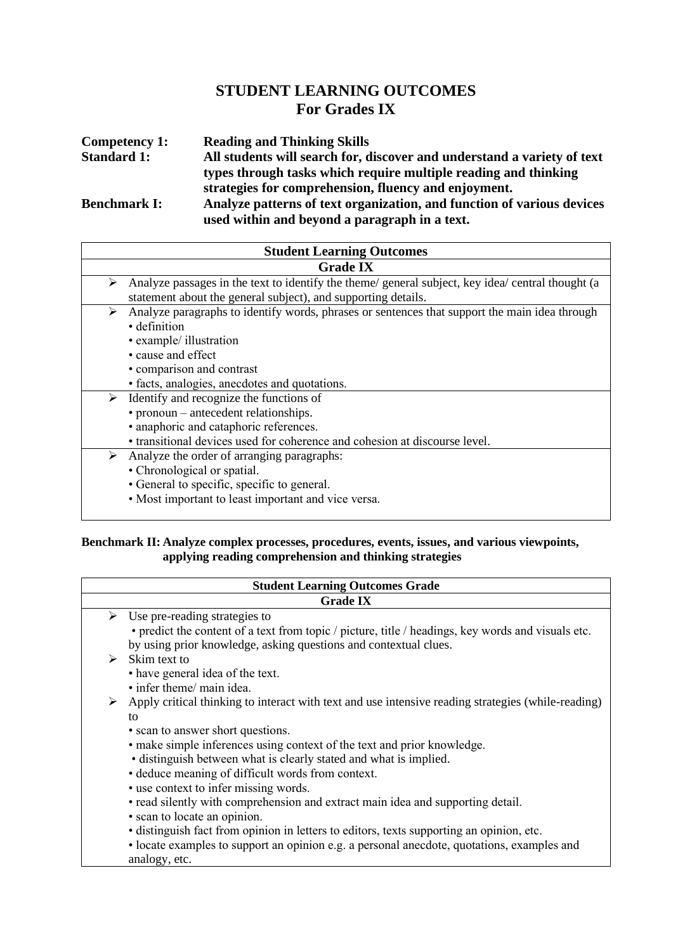## **STUDENT LEARNING OUTCOMES For Grades IX**

| <b>Reading and Thinking Skills</b>                                                                                      |
|-------------------------------------------------------------------------------------------------------------------------|
| All students will search for, discover and understand a variety of text                                                 |
| types through tasks which require multiple reading and thinking                                                         |
| strategies for comprehension, fluency and enjoyment.                                                                    |
| Analyze patterns of text organization, and function of various devices<br>used within and beyond a paragraph in a text. |
|                                                                                                                         |

| <b>Student Learning Outcomes</b>                                                                                                                                                                                                                               |  |
|----------------------------------------------------------------------------------------------------------------------------------------------------------------------------------------------------------------------------------------------------------------|--|
| <b>Grade IX</b>                                                                                                                                                                                                                                                |  |
| Analyze passages in the text to identify the theme/ general subject, key idea/ central thought (a<br>➤<br>statement about the general subject), and supporting details.                                                                                        |  |
| Analyze paragraphs to identify words, phrases or sentences that support the main idea through<br>➤<br>· definition<br>• example/ illustration<br>• cause and effect<br>• comparison and contrast                                                               |  |
| • facts, analogies, anecdotes and quotations.<br>Identify and recognize the functions of<br>➤<br>• pronoun – antecedent relationships.<br>• anaphoric and cataphoric references.<br>• transitional devices used for coherence and cohesion at discourse level. |  |
| Analyze the order of arranging paragraphs:<br>➤<br>• Chronological or spatial.<br>• General to specific, specific to general.<br>• Most important to least important and vice versa.                                                                           |  |

#### **Benchmark II: Analyze complex processes, procedures, events, issues, and various viewpoints, applying reading comprehension and thinking strategies**

|   | <b>Student Learning Outcomes Grade</b>                                                                                              |  |
|---|-------------------------------------------------------------------------------------------------------------------------------------|--|
|   | <b>Grade IX</b>                                                                                                                     |  |
| ➤ | Use pre-reading strategies to<br>• predict the content of a text from topic / picture, title / headings, key words and visuals etc. |  |
|   | by using prior knowledge, asking questions and contextual clues.                                                                    |  |
| ⋗ | Skim text to<br>• have general idea of the text.                                                                                    |  |
|   | • infer theme/ main idea.                                                                                                           |  |
| ➤ | Apply critical thinking to interact with text and use intensive reading strategies (while-reading)                                  |  |
|   | to                                                                                                                                  |  |
|   | • scan to answer short questions.                                                                                                   |  |
|   | • make simple inferences using context of the text and prior knowledge.                                                             |  |
|   | • distinguish between what is clearly stated and what is implied.                                                                   |  |
|   | • deduce meaning of difficult words from context.                                                                                   |  |
|   | • use context to infer missing words.                                                                                               |  |
|   | • read silently with comprehension and extract main idea and supporting detail.                                                     |  |
|   | • scan to locate an opinion.                                                                                                        |  |
|   | · distinguish fact from opinion in letters to editors, texts supporting an opinion, etc.                                            |  |
|   | • locate examples to support an opinion e.g. a personal anecdote, quotations, examples and                                          |  |
|   | analogy, etc.                                                                                                                       |  |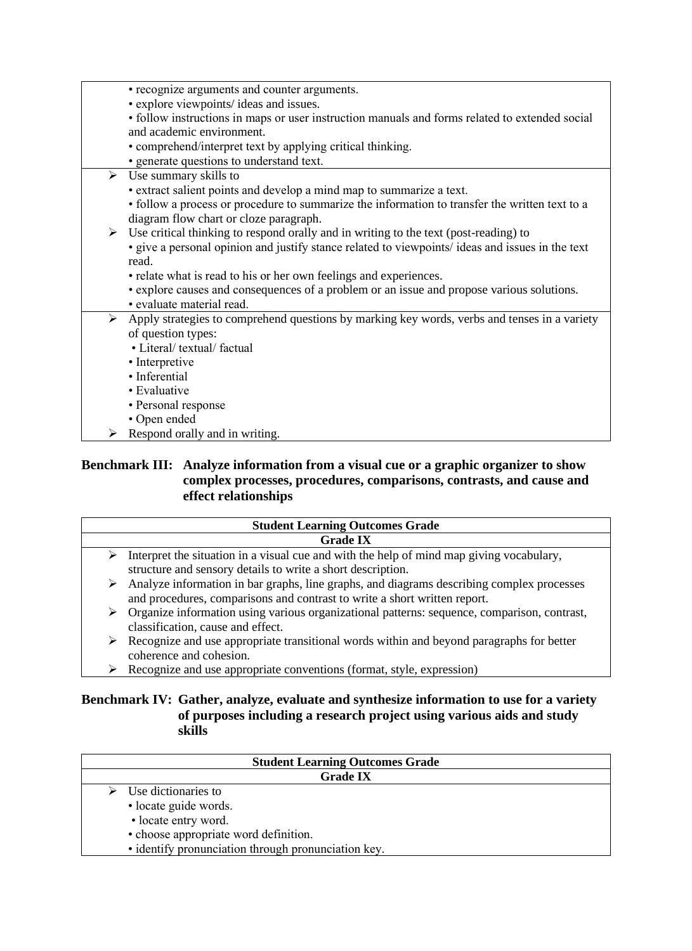| • recognize arguments and counter arguments.                                                                  |
|---------------------------------------------------------------------------------------------------------------|
| • explore viewpoints/ ideas and issues.                                                                       |
| · follow instructions in maps or user instruction manuals and forms related to extended social                |
| and academic environment.                                                                                     |
| • comprehend/interpret text by applying critical thinking.                                                    |
| • generate questions to understand text.                                                                      |
| $\triangleright$ Use summary skills to                                                                        |
| • extract salient points and develop a mind map to summarize a text.                                          |
| • follow a process or procedure to summarize the information to transfer the written text to a                |
| diagram flow chart or cloze paragraph.                                                                        |
| $\triangleright$ Use critical thinking to respond orally and in writing to the text (post-reading) to         |
| • give a personal opinion and justify stance related to viewpoints/ ideas and issues in the text              |
|                                                                                                               |
| read.                                                                                                         |
| • relate what is read to his or her own feelings and experiences.                                             |
| • explore causes and consequences of a problem or an issue and propose various solutions.                     |
| · evaluate material read.                                                                                     |
| $\triangleright$ Apply strategies to comprehend questions by marking key words, verbs and tenses in a variety |
| of question types:                                                                                            |
| • Literal/ textual/ factual                                                                                   |
| • Interpretive                                                                                                |
| · Inferential                                                                                                 |
| • Evaluative                                                                                                  |
| • Personal response                                                                                           |
| • Open ended                                                                                                  |
| Respond orally and in writing.                                                                                |

## **Benchmark III: Analyze information from a visual cue or a graphic organizer to show complex processes, procedures, comparisons, contrasts, and cause and effect relationships**

| <b>Student Learning Outcomes Grade</b> |                                                                                                                                                                        |
|----------------------------------------|------------------------------------------------------------------------------------------------------------------------------------------------------------------------|
| <b>Grade IX</b>                        |                                                                                                                                                                        |
| ➤                                      | Interpret the situation in a visual cue and with the help of mind map giving vocabulary,<br>structure and sensory details to write a short description.                |
| ➤                                      | Analyze information in bar graphs, line graphs, and diagrams describing complex processes<br>and procedures, comparisons and contrast to write a short written report. |
| ➤                                      | Organize information using various organizational patterns: sequence, comparison, contrast,<br>classification, cause and effect.                                       |
| ⋗                                      | Recognize and use appropriate transitional words within and beyond paragraphs for better<br>coherence and cohesion.                                                    |

➢ Recognize and use appropriate conventions (format, style, expression)

## **Benchmark IV: Gather, analyze, evaluate and synthesize information to use for a variety of purposes including a research project using various aids and study skills**

| <b>Student Learning Outcomes Grade</b>                                                                                                                                                |  |  |
|---------------------------------------------------------------------------------------------------------------------------------------------------------------------------------------|--|--|
| <b>Grade IX</b>                                                                                                                                                                       |  |  |
| $\triangleright$ Use dictionaries to<br>· locate guide words.<br>• locate entry word.<br>• choose appropriate word definition.<br>• identify pronunciation through pronunciation key. |  |  |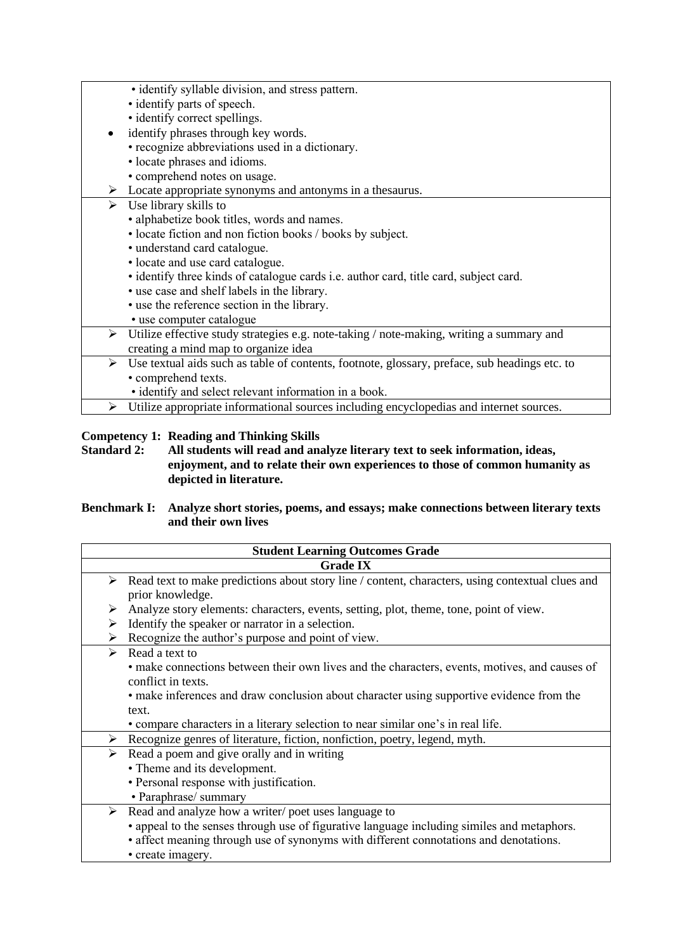- identify syllable division, and stress pattern.
- identify parts of speech.
- identify correct spellings.
- identify phrases through key words.
- recognize abbreviations used in a dictionary.
	- locate phrases and idioms.
- comprehend notes on usage.
- ➢ Locate appropriate synonyms and antonyms in a thesaurus.
- $\triangleright$  Use library skills to
	- alphabetize book titles, words and names.
	- locate fiction and non fiction books / books by subject.
	- understand card catalogue.
	- locate and use card catalogue.
	- identify three kinds of catalogue cards i.e. author card, title card, subject card.
	- use case and shelf labels in the library.
	- use the reference section in the library.
	- use computer catalogue
- Utilize effective study strategies e.g. note-taking / note-making, writing a summary and creating a mind map to organize idea
	- ➢ Use textual aids such as table of contents, footnote, glossary, preface, sub headings etc. to • comprehend texts.
		- identify and select relevant information in a book.
	- ➢ Utilize appropriate informational sources including encyclopedias and internet sources.

### **Competency 1: Reading and Thinking Skills**

**Standard 2: All students will read and analyze literary text to seek information, ideas, enjoyment, and to relate their own experiences to those of common humanity as depicted in literature.** 

#### **Benchmark I: Analyze short stories, poems, and essays; make connections between literary texts and their own lives**

|                       | <b>Student Learning Outcomes Grade</b>                                                                               |  |
|-----------------------|----------------------------------------------------------------------------------------------------------------------|--|
|                       | <b>Grade IX</b>                                                                                                      |  |
| ➤                     | Read text to make predictions about story line / content, characters, using contextual clues and<br>prior knowledge. |  |
| ➤                     | Analyze story elements: characters, events, setting, plot, theme, tone, point of view.                               |  |
| ➤                     | Identify the speaker or narrator in a selection.                                                                     |  |
| ➤                     | Recognize the author's purpose and point of view.                                                                    |  |
| $\blacktriangleright$ | Read a text to                                                                                                       |  |
|                       | • make connections between their own lives and the characters, events, motives, and causes of                        |  |
|                       | conflict in texts.                                                                                                   |  |
|                       | • make inferences and draw conclusion about character using supportive evidence from the                             |  |
|                       | text.                                                                                                                |  |
|                       | • compare characters in a literary selection to near similar one's in real life.                                     |  |
| ➤                     | Recognize genres of literature, fiction, nonfiction, poetry, legend, myth.                                           |  |
| ➤                     | Read a poem and give orally and in writing                                                                           |  |
|                       | • Theme and its development.                                                                                         |  |
|                       | • Personal response with justification.                                                                              |  |
|                       | • Paraphrase/ summary                                                                                                |  |
| ➤                     | Read and analyze how a writer/poet uses language to                                                                  |  |
|                       | • appeal to the senses through use of figurative language including similes and metaphors.                           |  |
|                       | • affect meaning through use of synonyms with different connotations and denotations.                                |  |
|                       | • create imagery.                                                                                                    |  |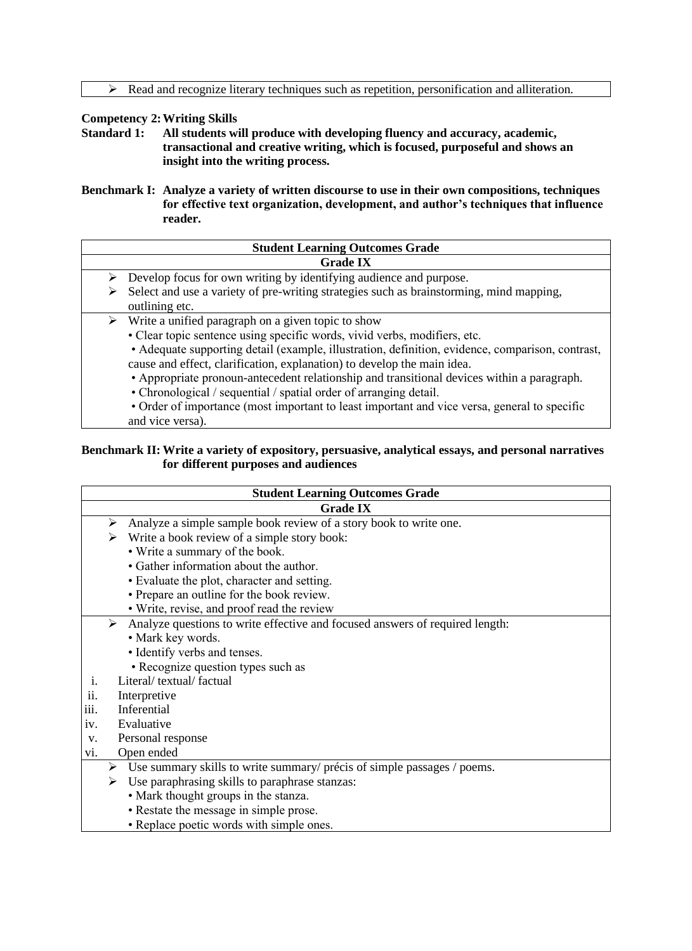#### **Competency 2:Writing Skills**

- **Standard 1: All students will produce with developing fluency and accuracy, academic, transactional and creative writing, which is focused, purposeful and shows an insight into the writing process.**
- **Benchmark I: Analyze a variety of written discourse to use in their own compositions, techniques for effective text organization, development, and author's techniques that influence reader.**

| <b>Student Learning Outcomes Grade</b> |                                                                                                  |  |
|----------------------------------------|--------------------------------------------------------------------------------------------------|--|
|                                        | <b>Grade IX</b>                                                                                  |  |
|                                        | Develop focus for own writing by identifying audience and purpose.                               |  |
| ⋗                                      | Select and use a variety of pre-writing strategies such as brainstorming, mind mapping,          |  |
|                                        | outlining etc.                                                                                   |  |
|                                        | $\triangleright$ Write a unified paragraph on a given topic to show                              |  |
|                                        | • Clear topic sentence using specific words, vivid verbs, modifiers, etc.                        |  |
|                                        | • Adequate supporting detail (example, illustration, definition, evidence, comparison, contrast, |  |
|                                        | cause and effect, clarification, explanation) to develop the main idea.                          |  |
|                                        | • Appropriate pronoun-antecedent relationship and transitional devices within a paragraph.       |  |
|                                        | • Chronological / sequential / spatial order of arranging detail.                                |  |
|                                        | • Order of importance (most important to least important and vice versa, general to specific     |  |
|                                        | and vice versa).                                                                                 |  |

#### **Benchmark II: Write a variety of expository, persuasive, analytical essays, and personal narratives for different purposes and audiences**

| <b>Student Learning Outcomes Grade</b>                                            |  |
|-----------------------------------------------------------------------------------|--|
| <b>Grade IX</b>                                                                   |  |
| Analyze a simple sample book review of a story book to write one.<br>➤            |  |
| Write a book review of a simple story book:<br>➤                                  |  |
| • Write a summary of the book.                                                    |  |
| • Gather information about the author.                                            |  |
| • Evaluate the plot, character and setting.                                       |  |
| • Prepare an outline for the book review.                                         |  |
| • Write, revise, and proof read the review                                        |  |
| ➤<br>Analyze questions to write effective and focused answers of required length: |  |
| • Mark key words.                                                                 |  |
| • Identify verbs and tenses.                                                      |  |
| • Recognize question types such as                                                |  |
| Literal/textual/factual<br>i.                                                     |  |
| ii.<br>Interpretive                                                               |  |
| iii.<br>Inferential                                                               |  |
| Evaluative<br>iv.                                                                 |  |
| Personal response<br>V.                                                           |  |
| Open ended<br>vi.                                                                 |  |
| Use summary skills to write summary/ précis of simple passages / poems.<br>➤      |  |
| Use paraphrasing skills to paraphrase stanzas:<br>≻                               |  |
| • Mark thought groups in the stanza.                                              |  |
| • Restate the message in simple prose.                                            |  |
| • Replace poetic words with simple ones.                                          |  |
|                                                                                   |  |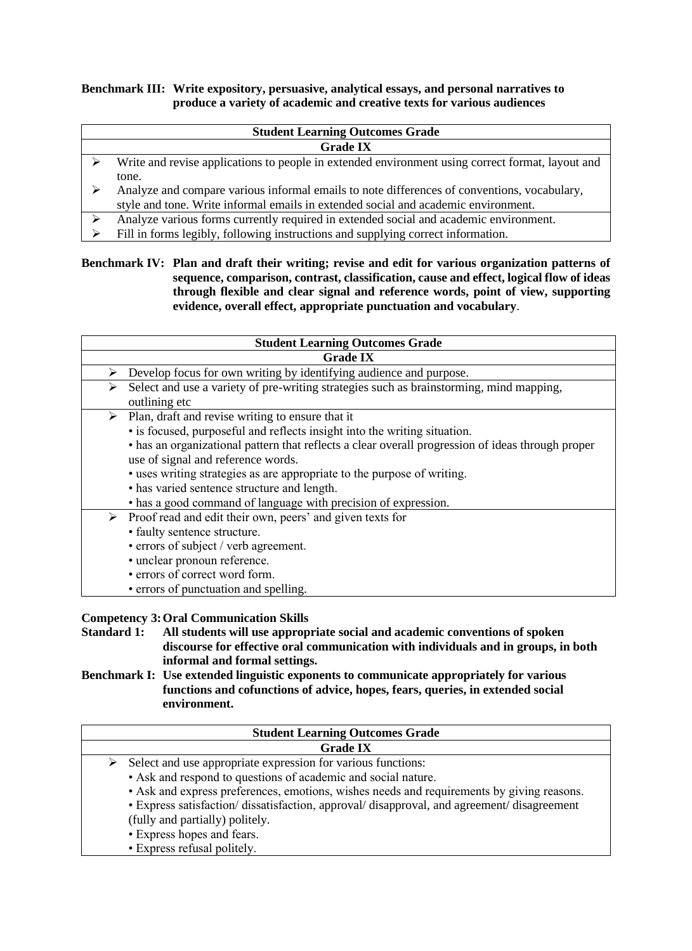#### **Benchmark III: Write expository, persuasive, analytical essays, and personal narratives to produce a variety of academic and creative texts for various audiences**

#### **Student Learning Outcomes Grade Grade IX**

- $\triangleright$  Write and revise applications to people in extended environment using correct format, layout and tone.
- ➢ Analyze and compare various informal emails to note differences of conventions, vocabulary, style and tone. Write informal emails in extended social and academic environment.
- ➢ Analyze various forms currently required in extended social and academic environment.
- ➢ Fill in forms legibly, following instructions and supplying correct information.

#### **Benchmark IV: Plan and draft their writing; revise and edit for various organization patterns of sequence, comparison, contrast, classification, cause and effect, logical flow of ideas through flexible and clear signal and reference words, point of view, supporting evidence, overall effect, appropriate punctuation and vocabulary**.

|   | <b>Student Learning Outcomes Grade</b>                                                                                                                                                                                                                                                                                                                                                                                                                                                |  |
|---|---------------------------------------------------------------------------------------------------------------------------------------------------------------------------------------------------------------------------------------------------------------------------------------------------------------------------------------------------------------------------------------------------------------------------------------------------------------------------------------|--|
|   | <b>Grade IX</b>                                                                                                                                                                                                                                                                                                                                                                                                                                                                       |  |
| ⋗ | Develop focus for own writing by identifying audience and purpose.                                                                                                                                                                                                                                                                                                                                                                                                                    |  |
| ➤ | Select and use a variety of pre-writing strategies such as brainstorming, mind mapping,<br>outlining etc                                                                                                                                                                                                                                                                                                                                                                              |  |
|   | $\triangleright$ Plan, draft and revise writing to ensure that it<br>• is focused, purposeful and reflects insight into the writing situation.<br>• has an organizational pattern that reflects a clear overall progression of ideas through proper<br>use of signal and reference words.<br>· uses writing strategies as are appropriate to the purpose of writing.<br>• has varied sentence structure and length.<br>• has a good command of language with precision of expression. |  |
| ➤ | Proof read and edit their own, peers' and given texts for<br>· faulty sentence structure.<br>• errors of subject / verb agreement.<br>· unclear pronoun reference.<br>• errors of correct word form.<br>• errors of punctuation and spelling.                                                                                                                                                                                                                                         |  |

#### **Competency 3:Oral Communication Skills**

**Standard 1: All students will use appropriate social and academic conventions of spoken discourse for effective oral communication with individuals and in groups, in both informal and formal settings.** 

**Benchmark I: Use extended linguistic exponents to communicate appropriately for various functions and cofunctions of advice, hopes, fears, queries, in extended social environment.**

| <b>Student Learning Outcomes Grade</b>                                                      |  |
|---------------------------------------------------------------------------------------------|--|
| <b>Grade IX</b>                                                                             |  |
| Select and use appropriate expression for various functions:                                |  |
| • Ask and respond to questions of academic and social nature.                               |  |
| • Ask and express preferences, emotions, wishes needs and requirements by giving reasons.   |  |
| • Express satisfaction/ dissatisfaction, approval/ disapproval, and agreement/ disagreement |  |
| (fully and partially) politely.                                                             |  |
| • Express hopes and fears.                                                                  |  |
| • Express refusal politely.                                                                 |  |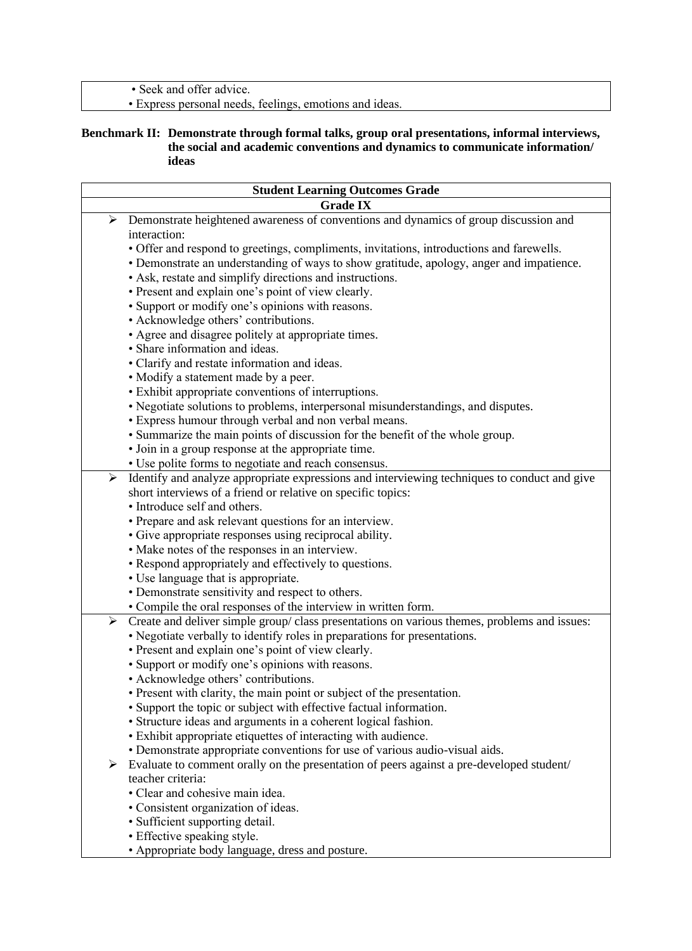• Seek and offer advice.

• Express personal needs, feelings, emotions and ideas.

#### **Benchmark II: Demonstrate through formal talks, group oral presentations, informal interviews, the social and academic conventions and dynamics to communicate information/ ideas**

| <b>Student Learning Outcomes Grade</b> |                                                                                              |
|----------------------------------------|----------------------------------------------------------------------------------------------|
| <b>Grade IX</b>                        |                                                                                              |
| ➤                                      | Demonstrate heightened awareness of conventions and dynamics of group discussion and         |
|                                        | interaction:                                                                                 |
|                                        | • Offer and respond to greetings, compliments, invitations, introductions and farewells.     |
|                                        | · Demonstrate an understanding of ways to show gratitude, apology, anger and impatience.     |
|                                        | • Ask, restate and simplify directions and instructions.                                     |
|                                        | • Present and explain one's point of view clearly.                                           |
|                                        | • Support or modify one's opinions with reasons.                                             |
|                                        | • Acknowledge others' contributions.                                                         |
|                                        | • Agree and disagree politely at appropriate times.                                          |
|                                        | · Share information and ideas.                                                               |
|                                        | • Clarify and restate information and ideas.                                                 |
|                                        | • Modify a statement made by a peer.                                                         |
|                                        | • Exhibit appropriate conventions of interruptions.                                          |
|                                        | • Negotiate solutions to problems, interpersonal misunderstandings, and disputes.            |
|                                        | • Express humour through verbal and non verbal means.                                        |
|                                        | • Summarize the main points of discussion for the benefit of the whole group.                |
|                                        | · Join in a group response at the appropriate time.                                          |
|                                        | • Use polite forms to negotiate and reach consensus.                                         |
| $\blacktriangleright$                  | Identify and analyze appropriate expressions and interviewing techniques to conduct and give |
|                                        | short interviews of a friend or relative on specific topics:                                 |
|                                        | • Introduce self and others.                                                                 |
|                                        | • Prepare and ask relevant questions for an interview.                                       |
|                                        | • Give appropriate responses using reciprocal ability.                                       |
|                                        | • Make notes of the responses in an interview.                                               |
|                                        | • Respond appropriately and effectively to questions.                                        |
|                                        | • Use language that is appropriate.                                                          |
|                                        | • Demonstrate sensitivity and respect to others.                                             |
|                                        | • Compile the oral responses of the interview in written form.                               |
| ➤                                      | Create and deliver simple group/class presentations on various themes, problems and issues:  |
|                                        | • Negotiate verbally to identify roles in preparations for presentations.                    |
|                                        | • Present and explain one's point of view clearly.                                           |
|                                        | • Support or modify one's opinions with reasons.                                             |
|                                        | · Acknowledge others' contributions.                                                         |
|                                        | • Present with clarity, the main point or subject of the presentation.                       |
|                                        | • Support the topic or subject with effective factual information.                           |
|                                        | • Structure ideas and arguments in a coherent logical fashion.                               |
|                                        | · Exhibit appropriate etiquettes of interacting with audience.                               |
|                                        | • Demonstrate appropriate conventions for use of various audio-visual aids.                  |
| ≻                                      | Evaluate to comment orally on the presentation of peers against a pre-developed student/     |
|                                        | teacher criteria:                                                                            |
|                                        | • Clear and cohesive main idea.                                                              |
|                                        |                                                                                              |
|                                        | • Consistent organization of ideas.<br>• Sufficient supporting detail.                       |
|                                        |                                                                                              |
|                                        | • Effective speaking style.                                                                  |
|                                        | • Appropriate body language, dress and posture.                                              |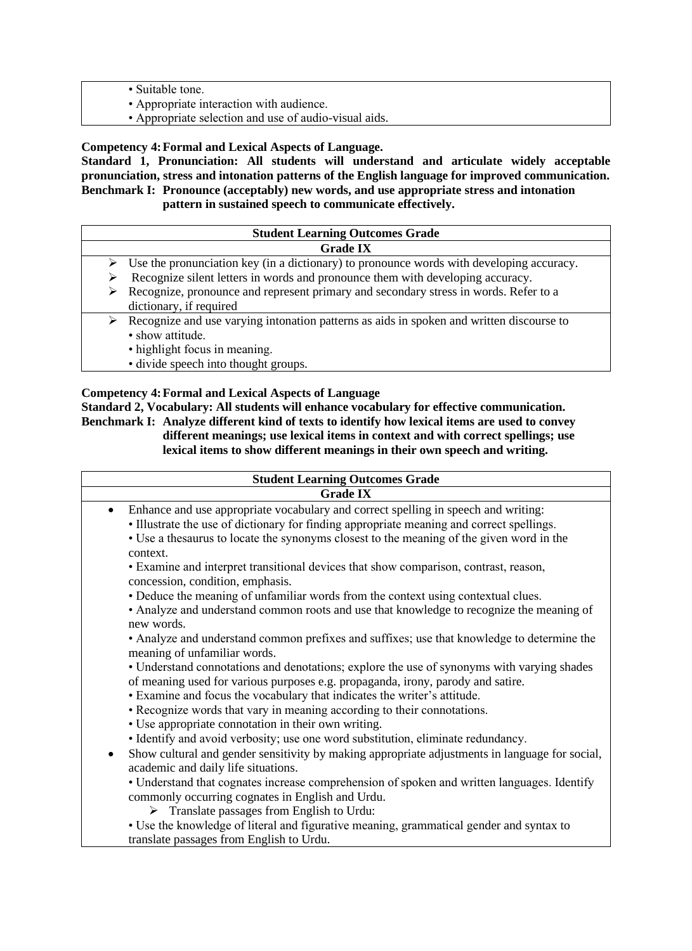- Suitable tone.
- Appropriate interaction with audience.
- Appropriate selection and use of audio-visual aids.

**Competency 4:Formal and Lexical Aspects of Language.** 

**Standard 1, Pronunciation: All students will understand and articulate widely acceptable pronunciation, stress and intonation patterns of the English language for improved communication. Benchmark I: Pronounce (acceptably) new words, and use appropriate stress and intonation pattern in sustained speech to communicate effectively.**

|   | <b>Student Learning Outcomes Grade</b>                                                                    |  |  |  |  |  |  |  |
|---|-----------------------------------------------------------------------------------------------------------|--|--|--|--|--|--|--|
|   | <b>Grade IX</b>                                                                                           |  |  |  |  |  |  |  |
|   | $\triangleright$ Use the pronunciation key (in a dictionary) to pronounce words with developing accuracy. |  |  |  |  |  |  |  |
|   | Recognize silent letters in words and pronounce them with developing accuracy.                            |  |  |  |  |  |  |  |
| ➤ | Recognize, pronounce and represent primary and secondary stress in words. Refer to a                      |  |  |  |  |  |  |  |
|   | dictionary, if required                                                                                   |  |  |  |  |  |  |  |
| ⋗ | Recognize and use varying intonation patterns as aids in spoken and written discourse to                  |  |  |  |  |  |  |  |
|   | • show attitude.                                                                                          |  |  |  |  |  |  |  |
|   | • highlight focus in meaning.                                                                             |  |  |  |  |  |  |  |
|   |                                                                                                           |  |  |  |  |  |  |  |

• divide speech into thought groups.

#### **Competency 4:Formal and Lexical Aspects of Language Standard 2, Vocabulary: All students will enhance vocabulary for effective communication. Benchmark I: Analyze different kind of texts to identify how lexical items are used to convey different meanings; use lexical items in context and with correct spellings; use lexical items to show different meanings in their own speech and writing.**

| <b>Student Learning Outcomes Grade</b>                                                                                                                                                                                                                                                                                                                                                                                                                                                                                                                                                                                                                                                                                                                                                                                                                                                                                                                                                                                                                                                                                                                                                                                                                                           |  |  |  |  |  |  |  |
|----------------------------------------------------------------------------------------------------------------------------------------------------------------------------------------------------------------------------------------------------------------------------------------------------------------------------------------------------------------------------------------------------------------------------------------------------------------------------------------------------------------------------------------------------------------------------------------------------------------------------------------------------------------------------------------------------------------------------------------------------------------------------------------------------------------------------------------------------------------------------------------------------------------------------------------------------------------------------------------------------------------------------------------------------------------------------------------------------------------------------------------------------------------------------------------------------------------------------------------------------------------------------------|--|--|--|--|--|--|--|
|                                                                                                                                                                                                                                                                                                                                                                                                                                                                                                                                                                                                                                                                                                                                                                                                                                                                                                                                                                                                                                                                                                                                                                                                                                                                                  |  |  |  |  |  |  |  |
| <b>Grade IX</b><br>Enhance and use appropriate vocabulary and correct spelling in speech and writing:<br>$\bullet$<br>• Illustrate the use of dictionary for finding appropriate meaning and correct spellings.<br>• Use a thesaurus to locate the synonyms closest to the meaning of the given word in the<br>context.<br>• Examine and interpret transitional devices that show comparison, contrast, reason,<br>concession, condition, emphasis.<br>• Deduce the meaning of unfamiliar words from the context using contextual clues.<br>• Analyze and understand common roots and use that knowledge to recognize the meaning of<br>new words.<br>• Analyze and understand common prefixes and suffixes; use that knowledge to determine the<br>meaning of unfamiliar words.<br>• Understand connotations and denotations; explore the use of synonyms with varying shades<br>of meaning used for various purposes e.g. propaganda, irony, parody and satire.<br>• Examine and focus the vocabulary that indicates the writer's attitude.<br>• Recognize words that vary in meaning according to their connotations.<br>• Use appropriate connotation in their own writing.<br>· Identify and avoid verbosity; use one word substitution, eliminate redundancy.<br>$\bullet$ |  |  |  |  |  |  |  |
| Show cultural and gender sensitivity by making appropriate adjustments in language for social,<br>academic and daily life situations.                                                                                                                                                                                                                                                                                                                                                                                                                                                                                                                                                                                                                                                                                                                                                                                                                                                                                                                                                                                                                                                                                                                                            |  |  |  |  |  |  |  |
| • Understand that cognates increase comprehension of spoken and written languages. Identify<br>commonly occurring cognates in English and Urdu.<br>$\triangleright$ Translate passages from English to Urdu:                                                                                                                                                                                                                                                                                                                                                                                                                                                                                                                                                                                                                                                                                                                                                                                                                                                                                                                                                                                                                                                                     |  |  |  |  |  |  |  |
| • Use the knowledge of literal and figurative meaning, grammatical gender and syntax to<br>translate passages from English to Urdu.                                                                                                                                                                                                                                                                                                                                                                                                                                                                                                                                                                                                                                                                                                                                                                                                                                                                                                                                                                                                                                                                                                                                              |  |  |  |  |  |  |  |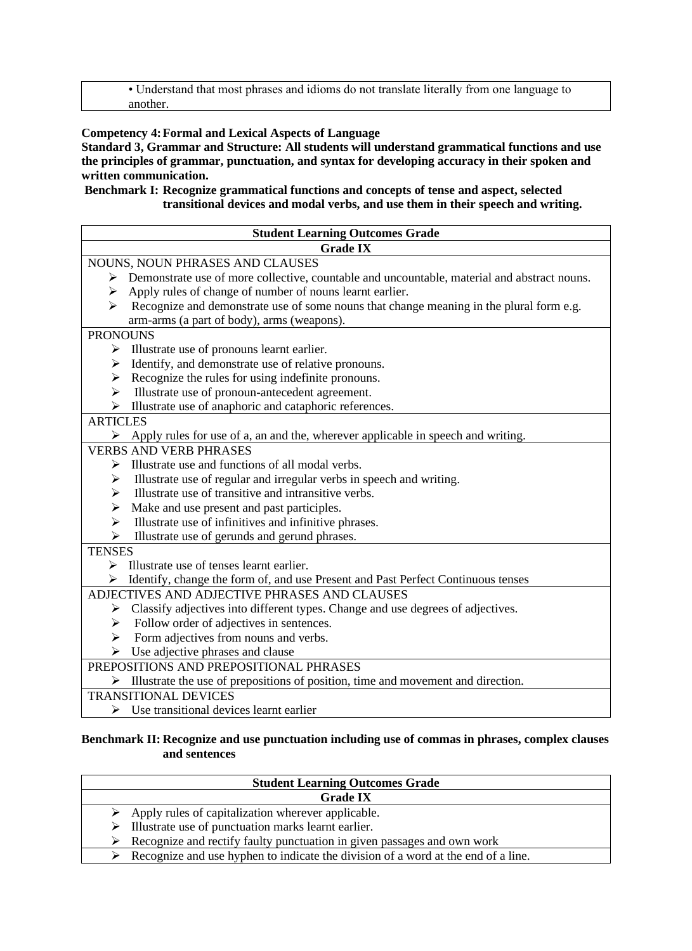• Understand that most phrases and idioms do not translate literally from one language to another.

#### **Competency 4:Formal and Lexical Aspects of Language**

**Standard 3, Grammar and Structure: All students will understand grammatical functions and use the principles of grammar, punctuation, and syntax for developing accuracy in their spoken and written communication.**

#### **Benchmark I: Recognize grammatical functions and concepts of tense and aspect, selected transitional devices and modal verbs, and use them in their speech and writing.**

|                       | <b>Student Learning Outcomes Grade</b>                                                            |  |  |  |  |  |  |  |
|-----------------------|---------------------------------------------------------------------------------------------------|--|--|--|--|--|--|--|
|                       | <b>Grade IX</b>                                                                                   |  |  |  |  |  |  |  |
|                       | NOUNS, NOUN PHRASES AND CLAUSES                                                                   |  |  |  |  |  |  |  |
|                       | > Demonstrate use of more collective, countable and uncountable, material and abstract nouns.     |  |  |  |  |  |  |  |
| ➤                     | Apply rules of change of number of nouns learnt earlier.                                          |  |  |  |  |  |  |  |
| ⋗                     | Recognize and demonstrate use of some nouns that change meaning in the plural form e.g.           |  |  |  |  |  |  |  |
|                       | arm-arms (a part of body), arms (weapons).                                                        |  |  |  |  |  |  |  |
| <b>PRONOUNS</b>       |                                                                                                   |  |  |  |  |  |  |  |
| ➤                     | Illustrate use of pronouns learnt earlier.                                                        |  |  |  |  |  |  |  |
| ➤                     | Identify, and demonstrate use of relative pronouns.                                               |  |  |  |  |  |  |  |
| ➤                     | Recognize the rules for using indefinite pronouns.                                                |  |  |  |  |  |  |  |
| ➤                     | Illustrate use of pronoun-antecedent agreement.                                                   |  |  |  |  |  |  |  |
| ➤                     | Illustrate use of anaphoric and cataphoric references.                                            |  |  |  |  |  |  |  |
| <b>ARTICLES</b>       |                                                                                                   |  |  |  |  |  |  |  |
|                       | $\triangleright$ Apply rules for use of a, an and the, wherever applicable in speech and writing. |  |  |  |  |  |  |  |
|                       | <b>VERBS AND VERB PHRASES</b>                                                                     |  |  |  |  |  |  |  |
| ➤                     | Illustrate use and functions of all modal verbs.                                                  |  |  |  |  |  |  |  |
| ➤                     | Illustrate use of regular and irregular verbs in speech and writing.                              |  |  |  |  |  |  |  |
| ⋗                     | Illustrate use of transitive and intransitive verbs.                                              |  |  |  |  |  |  |  |
| ➤                     | Make and use present and past participles.                                                        |  |  |  |  |  |  |  |
| $\blacktriangleright$ | Illustrate use of infinitives and infinitive phrases.                                             |  |  |  |  |  |  |  |
| ➤                     | Illustrate use of gerunds and gerund phrases.                                                     |  |  |  |  |  |  |  |
| <b>TENSES</b>         |                                                                                                   |  |  |  |  |  |  |  |
|                       | Illustrate use of tenses learnt earlier.                                                          |  |  |  |  |  |  |  |
|                       | $\triangleright$ Identify, change the form of, and use Present and Past Perfect Continuous tenses |  |  |  |  |  |  |  |
|                       | ADJECTIVES AND ADJECTIVE PHRASES AND CLAUSES                                                      |  |  |  |  |  |  |  |
|                       | $\triangleright$ Classify adjectives into different types. Change and use degrees of adjectives.  |  |  |  |  |  |  |  |
| ➤                     | Follow order of adjectives in sentences.                                                          |  |  |  |  |  |  |  |
|                       | $\triangleright$ Form adjectives from nouns and verbs.                                            |  |  |  |  |  |  |  |
|                       | $\triangleright$ Use adjective phrases and clause                                                 |  |  |  |  |  |  |  |
|                       | PREPOSITIONS AND PREPOSITIONAL PHRASES                                                            |  |  |  |  |  |  |  |
| ➤                     | Illustrate the use of prepositions of position, time and movement and direction.                  |  |  |  |  |  |  |  |
|                       | <b>TRANSITIONAL DEVICES</b>                                                                       |  |  |  |  |  |  |  |
| ⋗                     | Use transitional devices learnt earlier                                                           |  |  |  |  |  |  |  |

#### **Benchmark II: Recognize and use punctuation including use of commas in phrases, complex clauses and sentences**

| <b>Student Learning Outcomes Grade</b>                                            |  |  |  |  |  |  |  |
|-----------------------------------------------------------------------------------|--|--|--|--|--|--|--|
| <b>Grade IX</b>                                                                   |  |  |  |  |  |  |  |
| $\triangleright$ Apply rules of capitalization wherever applicable.               |  |  |  |  |  |  |  |
| Illustrate use of punctuation marks learnt earlier.<br>➤                          |  |  |  |  |  |  |  |
| Recognize and rectify faulty punctuation in given passages and own work           |  |  |  |  |  |  |  |
| Recognize and use hyphen to indicate the division of a word at the end of a line. |  |  |  |  |  |  |  |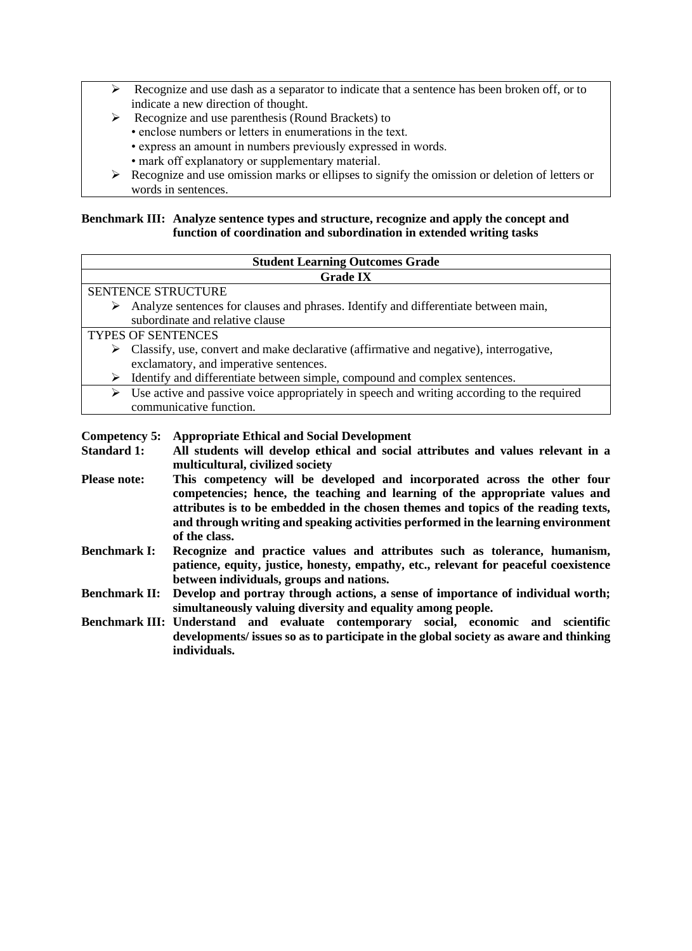- $\triangleright$  Recognize and use dash as a separator to indicate that a sentence has been broken off, or to indicate a new direction of thought.
- ➢ Recognize and use parenthesis (Round Brackets) to
	- enclose numbers or letters in enumerations in the text.
		- express an amount in numbers previously expressed in words.
	- mark off explanatory or supplementary material.
- ➢ Recognize and use omission marks or ellipses to signify the omission or deletion of letters or words in sentences.

#### **Benchmark III: Analyze sentence types and structure, recognize and apply the concept and function of coordination and subordination in extended writing tasks**

| <b>Student Learning Outcomes Grade</b>                                                                  |  |  |  |  |  |  |
|---------------------------------------------------------------------------------------------------------|--|--|--|--|--|--|
| <b>Grade IX</b>                                                                                         |  |  |  |  |  |  |
| <b>SENTENCE STRUCTURE</b>                                                                               |  |  |  |  |  |  |
| Analyze sentences for clauses and phrases. Identify and differentiate between main,<br>➤                |  |  |  |  |  |  |
| subordinate and relative clause                                                                         |  |  |  |  |  |  |
| <b>TYPES OF SENTENCES</b>                                                                               |  |  |  |  |  |  |
| $\triangleright$ Classify, use, convert and make declarative (affirmative and negative), interrogative, |  |  |  |  |  |  |
| exclamatory, and imperative sentences.                                                                  |  |  |  |  |  |  |
| Identify and differentiate between simple, compound and complex sentences.                              |  |  |  |  |  |  |
| Use active and passive voice appropriately in speech and writing according to the required              |  |  |  |  |  |  |
| communicative function.                                                                                 |  |  |  |  |  |  |
|                                                                                                         |  |  |  |  |  |  |

#### **Competency 5: Appropriate Ethical and Social Development**

- **Standard 1: All students will develop ethical and social attributes and values relevant in a multicultural, civilized society**
- **Please note: This competency will be developed and incorporated across the other four competencies; hence, the teaching and learning of the appropriate values and attributes is to be embedded in the chosen themes and topics of the reading texts, and through writing and speaking activities performed in the learning environment of the class.**
- **Benchmark I: Recognize and practice values and attributes such as tolerance, humanism, patience, equity, justice, honesty, empathy, etc., relevant for peaceful coexistence between individuals, groups and nations.**
- **Benchmark II: Develop and portray through actions, a sense of importance of individual worth; simultaneously valuing diversity and equality among people.**
- **Benchmark III: Understand and evaluate contemporary social, economic and scientific developments/ issues so as to participate in the global society as aware and thinking individuals.**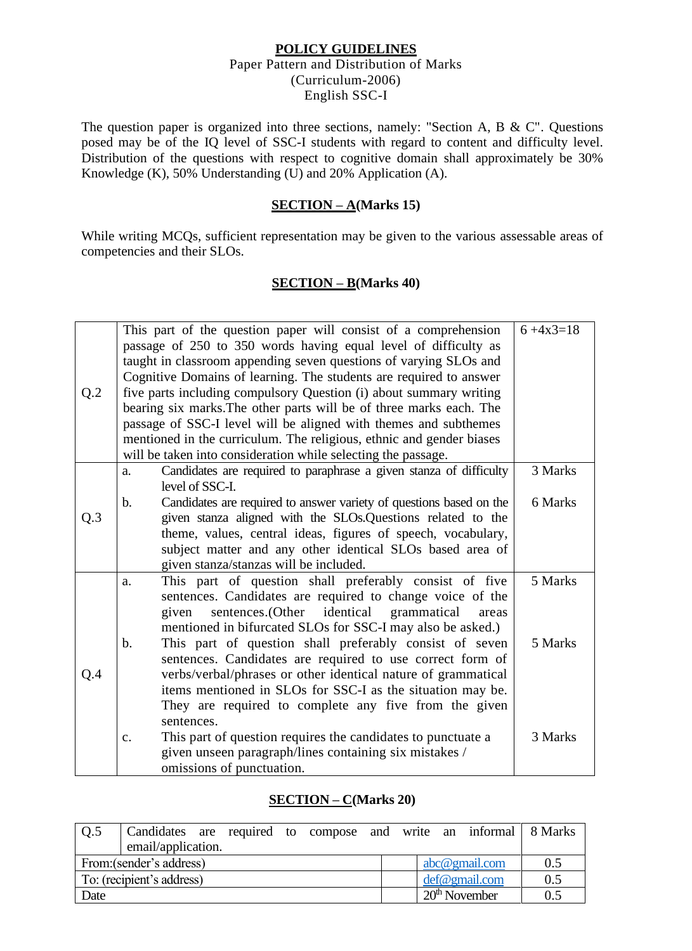#### **POLICY GUIDELINES**  Paper Pattern and Distribution of Marks (Curriculum-2006) English SSC-I

The question paper is organized into three sections, namely: "Section A, B & C". Questions posed may be of the IQ level of SSC-I students with regard to content and difficulty level. Distribution of the questions with respect to cognitive domain shall approximately be 30% Knowledge (K),  $50\%$  Understanding (U) and  $20\%$  Application (A).

## **SECTION – A(Marks 15)**

While writing MCQs, sufficient representation may be given to the various assessable areas of competencies and their SLOs.

### **SECTION – B(Marks 40)**

| Q.2 | This part of the question paper will consist of a comprehension<br>passage of 250 to 350 words having equal level of difficulty as<br>taught in classroom appending seven questions of varying SLOs and<br>Cognitive Domains of learning. The students are required to answer<br>five parts including compulsory Question (i) about summary writing<br>bearing six marks. The other parts will be of three marks each. The<br>passage of SSC-I level will be aligned with themes and subthemes<br>mentioned in the curriculum. The religious, ethnic and gender biases<br>will be taken into consideration while selecting the passage.                                                                                                                                       | $6 + 4x3 = 18$                |
|-----|-------------------------------------------------------------------------------------------------------------------------------------------------------------------------------------------------------------------------------------------------------------------------------------------------------------------------------------------------------------------------------------------------------------------------------------------------------------------------------------------------------------------------------------------------------------------------------------------------------------------------------------------------------------------------------------------------------------------------------------------------------------------------------|-------------------------------|
| Q.3 | Candidates are required to paraphrase a given stanza of difficulty<br>a.<br>level of SSC-I.<br>Candidates are required to answer variety of questions based on the<br>$\mathbf{b}$ .<br>given stanza aligned with the SLOs. Questions related to the<br>theme, values, central ideas, figures of speech, vocabulary,<br>subject matter and any other identical SLOs based area of<br>given stanza/stanzas will be included.                                                                                                                                                                                                                                                                                                                                                   | 3 Marks<br>6 Marks            |
| Q.4 | This part of question shall preferably consist of five<br>a.<br>sentences. Candidates are required to change voice of the<br>identical grammatical<br>sentences.(Other<br>given<br>areas<br>mentioned in bifurcated SLOs for SSC-I may also be asked.)<br>This part of question shall preferably consist of seven<br>$\mathbf b$ .<br>sentences. Candidates are required to use correct form of<br>verbs/verbal/phrases or other identical nature of grammatical<br>items mentioned in SLOs for SSC-I as the situation may be.<br>They are required to complete any five from the given<br>sentences.<br>This part of question requires the candidates to punctuate a<br>$C_{\bullet}$<br>given unseen paragraph/lines containing six mistakes /<br>omissions of punctuation. | 5 Marks<br>5 Marks<br>3 Marks |

#### **SECTION – C(Marks 20)**

| O.5                       | Candidates are required to compose and write an informal 8 Marks |  |  |  |  |  |                  |     |
|---------------------------|------------------------------------------------------------------|--|--|--|--|--|------------------|-----|
|                           | email/application.                                               |  |  |  |  |  |                  |     |
| From: (sender's address)  |                                                                  |  |  |  |  |  | $abc@$ gmail.com | 0.5 |
| To: (recipient's address) |                                                                  |  |  |  |  |  | def@gmail.com    | 0.5 |
| Date                      |                                                                  |  |  |  |  |  | $20th$ November  | 0.5 |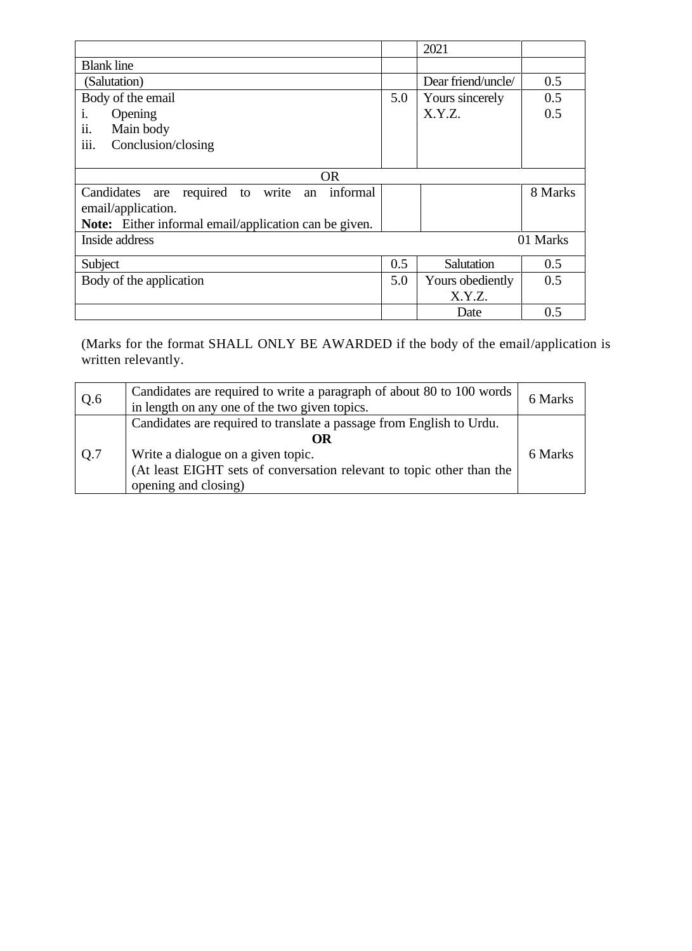|                                                             |     | 2021               |         |  |  |  |
|-------------------------------------------------------------|-----|--------------------|---------|--|--|--|
| <b>Blank line</b>                                           |     |                    |         |  |  |  |
| (Salutation)                                                |     | Dear friend/uncle/ | 0.5     |  |  |  |
| Body of the email                                           | 5.0 | Yours sincerely    | 0.5     |  |  |  |
| i.<br>Opening                                               |     | X.Y.Z.             | 0.5     |  |  |  |
| ii.<br>Main body                                            |     |                    |         |  |  |  |
| iii.<br>Conclusion/closing                                  |     |                    |         |  |  |  |
|                                                             |     |                    |         |  |  |  |
| <b>OR</b>                                                   |     |                    |         |  |  |  |
| informal<br>Candidates are<br>required<br>write<br>to<br>an |     |                    | 8 Marks |  |  |  |
| email/application.                                          |     |                    |         |  |  |  |
| Note: Either informal email/application can be given.       |     |                    |         |  |  |  |
| Inside address<br>01 Marks                                  |     |                    |         |  |  |  |
| Subject                                                     | 0.5 | Salutation         | 0.5     |  |  |  |
| Body of the application                                     | 5.0 | Yours obediently   | 0.5     |  |  |  |
|                                                             |     | X.Y.Z.             |         |  |  |  |
|                                                             |     | Date               | 0.5     |  |  |  |

(Marks for the format SHALL ONLY BE AWARDED if the body of the email/application is written relevantly.

| Q.6 | Candidates are required to write a paragraph of about 80 to 100 words<br>in length on any one of the two given topics.                                                                                            | 6 Marks |
|-----|-------------------------------------------------------------------------------------------------------------------------------------------------------------------------------------------------------------------|---------|
| Q.7 | Candidates are required to translate a passage from English to Urdu.<br>OR<br>Write a dialogue on a given topic.<br>(At least EIGHT sets of conversation relevant to topic other than the<br>opening and closing) | 6 Marks |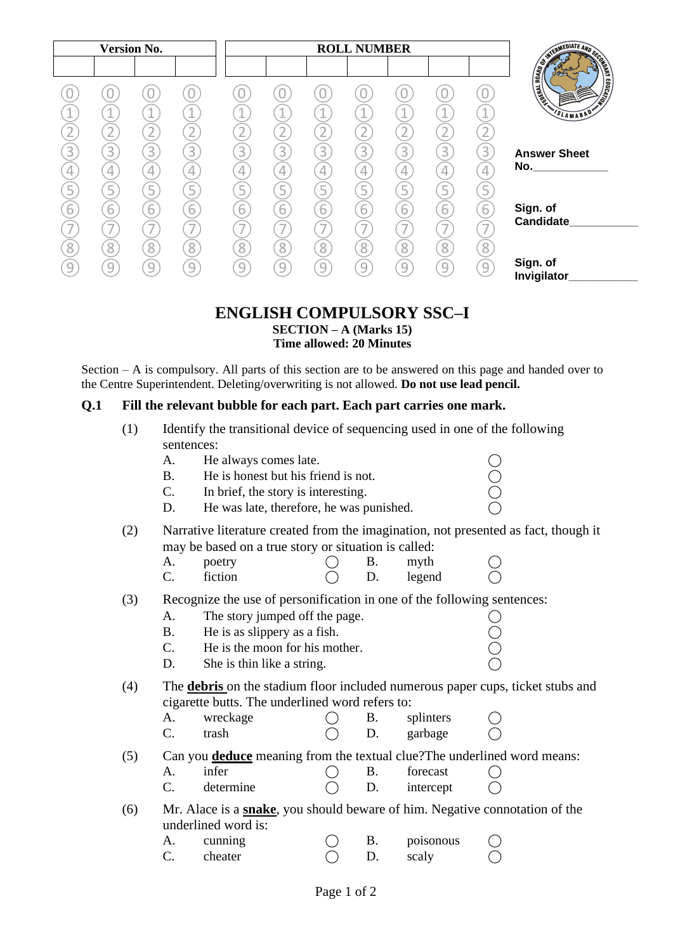|   | <b>Version No.</b>                         |                          |        |                     |                                            |                                    | <b>ROLL NUMBER</b> |             |                          |             |                                                               |
|---|--------------------------------------------|--------------------------|--------|---------------------|--------------------------------------------|------------------------------------|--------------------|-------------|--------------------------|-------------|---------------------------------------------------------------|
|   | 4.                                         | A.                       | $\sim$ | $\overline{a}$      | 1                                          | $\mathbf 1$<br>$\bigcap$           | $\sim$             |             | 4                        |             | <b>REGISTER AND REGISTER</b><br><b>TELESCOPE</b><br>SLAMABAD' |
|   | $\overline{3}$<br>4<br>5                   | $\overline{3}$<br>4<br>5 | 3<br>5 | $\overline{3}$<br>4 | 3<br>$\overline{4}$<br>5                   | $\boxed{3}$<br>$\overline{4}$<br>5 | 3<br>4<br>5        | 3<br>4<br>5 | $\overline{3}$<br>4<br>5 | 3<br>4<br>5 | <b>Answer Sheet</b><br>No.                                    |
|   | $\overline{6}$<br>$\overline{\phantom{a}}$ | $\overline{6}$           | 6      | 6                   | $\overline{6}$<br>$\overline{\phantom{a}}$ | $\overline{6}$                     | $\overline{6}$     | 6           | 6                        | 6           | Sign. of<br>Candidate                                         |
| Զ | 8<br>9                                     | 8<br>9                   | 8<br>9 | 8<br>9              | 8<br>9                                     | $\overline{8}$<br>9                | 8<br>9             | 8<br>9      | 8<br>9                   | 8<br>9      | Sign. of<br>Invigilator                                       |

## **ENGLISH COMPULSORY SSC–I**

**SECTION – A (Marks 15) Time allowed: 20 Minutes**

Section – A is compulsory. All parts of this section are to be answered on this page and handed over to the Centre Superintendent. Deleting/overwriting is not allowed. **Do not use lead pencil.**

### **Q.1 Fill the relevant bubble for each part. Each part carries one mark.**

- (1) Identify the transitional device of sequencing used in one of the following sentences:
	-
	- A. He always comes late.  $\bigcirc$ <br>
	B. He is honest but his friend is not.  $\bigcirc$ <br>
	C. In brief, the story is interesting.  $\bigcirc$ <br>
	D. He was late, therefore, he was punished.  $\bigcirc$ B. He is honest but his friend is not.
	- C. In brief, the story is interesting.
	- D. He was late, therefore, he was punished.
- (2) Narrative literature created from the imagination, not presented as fact, though it may be based on a true story or situation is called:

| А. | poetry  |  | myth   |  |
|----|---------|--|--------|--|
|    | fiction |  | legend |  |

- (3) Recognize the use of personification in one of the following sentences:
	-
	- B. He is as slippery as a fish.
	- A. The story jumped off the page.  $\bigcirc$ <br>
	B. He is as slippery as a fish.  $\bigcirc$ <br>
	C. He is the moon for his mother.  $\bigcirc$ C. He is the moon for his mother.
	- D. She is thin like a string.
- (4) The **debris** on the stadium floor included numerous paper cups, ticket stubs and cigarette butts. The underlined word refers to:

| wreckage |  | splinters |  |
|----------|--|-----------|--|
| trash    |  | garbage   |  |

(5) Can you **deduce** meaning from the textual clue?The underlined word means:

| A. | inter     |  | forecast  |  |
|----|-----------|--|-----------|--|
| ⌒  | determine |  | intercept |  |

(6) Mr. Alace is a **snake**, you should beware of him. Negative connotation of the underlined word is:

| A.      | Cunnino |  | poisonous |  |
|---------|---------|--|-----------|--|
| ⌒<br>J. | cheater |  | scaly     |  |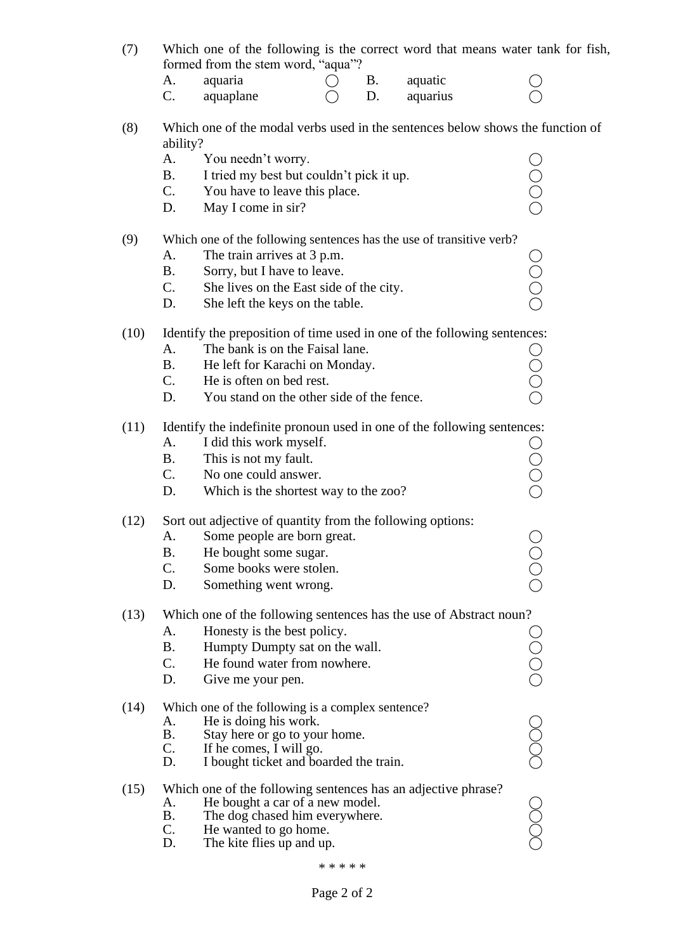| (7)  |           | formed from the stem word, "aqua"?                                                                  |           |          | Which one of the following is the correct word that means water tank for fish, |
|------|-----------|-----------------------------------------------------------------------------------------------------|-----------|----------|--------------------------------------------------------------------------------|
|      | А.        | aquaria                                                                                             | <b>B.</b> | aquatic  |                                                                                |
|      | C.        | aquaplane                                                                                           | D.        | aquarius |                                                                                |
| (8)  | ability?  | Which one of the modal verbs used in the sentences below shows the function of                      |           |          |                                                                                |
|      | А.        | You needn't worry.                                                                                  |           |          |                                                                                |
|      | <b>B.</b> | I tried my best but couldn't pick it up.                                                            |           |          | Ō<br>O<br>O                                                                    |
|      | C.        | You have to leave this place.                                                                       |           |          |                                                                                |
|      | D.        | May I come in sir?                                                                                  |           |          |                                                                                |
| (9)  | A.        | Which one of the following sentences has the use of transitive verb?<br>The train arrives at 3 p.m. |           |          |                                                                                |
|      | <b>B.</b> | Sorry, but I have to leave.                                                                         |           |          |                                                                                |
|      | C.        | She lives on the East side of the city.                                                             |           |          |                                                                                |
|      | D.        | She left the keys on the table.                                                                     |           |          | Ó<br>O<br>O                                                                    |
|      |           |                                                                                                     |           |          |                                                                                |
| (10) |           | Identify the preposition of time used in one of the following sentences:                            |           |          |                                                                                |
|      | А.        | The bank is on the Faisal lane.                                                                     |           |          |                                                                                |
|      | <b>B.</b> | He left for Karachi on Monday.                                                                      |           |          | Ŏ<br>O<br>O                                                                    |
|      | C.        | He is often on bed rest.                                                                            |           |          |                                                                                |
|      | D.        | You stand on the other side of the fence.                                                           |           |          |                                                                                |
| (11) |           | Identify the indefinite pronoun used in one of the following sentences:                             |           |          |                                                                                |
|      | А.        | I did this work myself.                                                                             |           |          |                                                                                |
|      | <b>B.</b> | This is not my fault.                                                                               |           |          |                                                                                |
|      | C.        | No one could answer.                                                                                |           |          | Ō<br>O<br>O                                                                    |
|      | D.        | Which is the shortest way to the zoo?                                                               |           |          |                                                                                |
| (12) |           | Sort out adjective of quantity from the following options:                                          |           |          |                                                                                |
|      | A.        | Some people are born great.                                                                         |           |          |                                                                                |
|      | <b>B.</b> | He bought some sugar.                                                                               |           |          |                                                                                |
|      | C.        | Some books were stolen.                                                                             |           |          |                                                                                |
|      | D.        | Something went wrong.                                                                               |           |          |                                                                                |
| (13) | A.        | Which one of the following sentences has the use of Abstract noun?<br>Honesty is the best policy.   |           |          |                                                                                |
|      | <b>B.</b> | Humpty Dumpty sat on the wall.                                                                      |           |          |                                                                                |
|      | C.        | He found water from nowhere.                                                                        |           |          |                                                                                |
|      | D.        | Give me your pen.                                                                                   |           |          | UO<br>O<br>O<br>O                                                              |
|      |           |                                                                                                     |           |          |                                                                                |
| (14) | A.        | Which one of the following is a complex sentence?<br>He is doing his work.                          |           |          |                                                                                |
|      | Β.        | Stay here or go to your home.                                                                       |           |          |                                                                                |
|      | C.        | If he comes, I will go.                                                                             |           |          |                                                                                |
|      | D.        | I bought ticket and boarded the train.                                                              |           |          |                                                                                |
| (15) |           | Which one of the following sentences has an adjective phrase?                                       |           |          |                                                                                |
|      | A.        | He bought a car of a new model.                                                                     |           |          |                                                                                |
|      | Β.<br>C.  | The dog chased him everywhere.<br>He wanted to go home.                                             |           |          |                                                                                |
|      | D.        | The kite flies up and up.                                                                           |           |          |                                                                                |
|      |           |                                                                                                     |           |          |                                                                                |

\* \* \* \* \*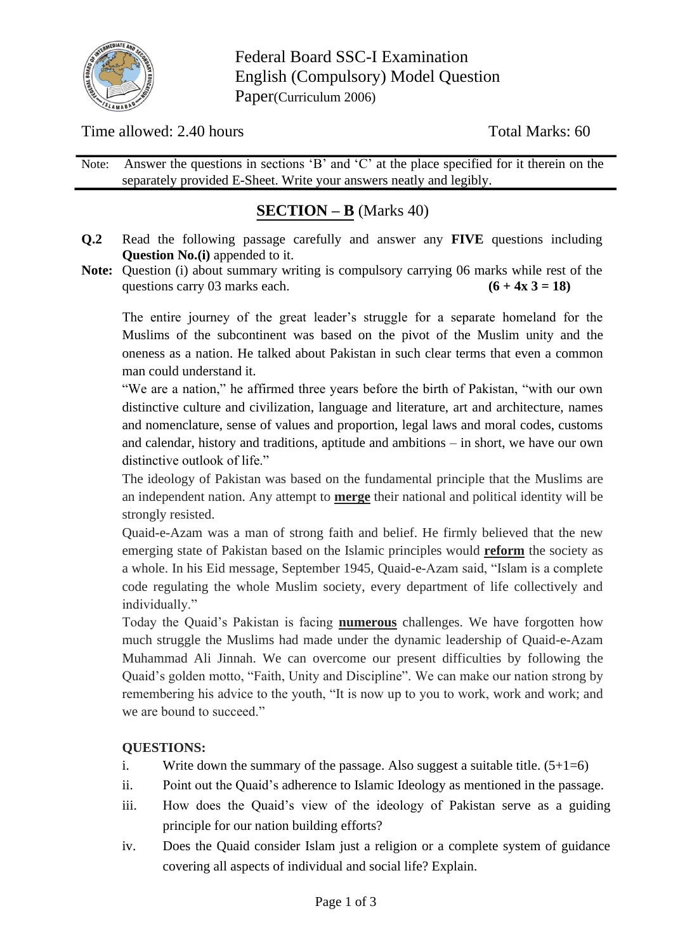

Federal Board SSC-I Examination English (Compulsory) Model Question Paper(Curriculum 2006)

Time allowed: 2.40 hours Total Marks: 60

Note: Answer the questions in sections 'B' and 'C' at the place specified for it therein on the separately provided E-Sheet. Write your answers neatly and legibly.

# **SECTION – B** (Marks 40)

- **Q.2** Read the following passage carefully and answer any **FIVE** questions including **Question No.(i)** appended to it.
- **Note:** Question (i) about summary writing is compulsory carrying 06 marks while rest of the questions carry 03 marks each.  $(6 + 4x 3 = 18)$

The entire journey of the great leader's struggle for a separate homeland for the Muslims of the subcontinent was based on the pivot of the Muslim unity and the oneness as a nation. He talked about Pakistan in such clear terms that even a common man could understand it.

"We are a nation," he affirmed three years before the birth of Pakistan, "with our own distinctive culture and civilization, language and literature, art and architecture, names and nomenclature, sense of values and proportion, legal laws and moral codes, customs and calendar, history and traditions, aptitude and ambitions – in short, we have our own distinctive outlook of life."

The ideology of Pakistan was based on the fundamental principle that the Muslims are an independent nation. Any attempt to **merge** their national and political identity will be strongly resisted.

Quaid-e-Azam was a man of strong faith and belief. He firmly believed that the new emerging state of Pakistan based on the Islamic principles would **reform** the society as a whole. In his Eid message, September 1945, Quaid-e-Azam said, "Islam is a complete code regulating the whole Muslim society, every department of life collectively and individually."

Today the Quaid's Pakistan is facing **numerous** challenges. We have forgotten how much struggle the Muslims had made under the dynamic leadership of Quaid-e-Azam Muhammad Ali Jinnah. We can overcome our present difficulties by following the Quaid's golden motto, "Faith, Unity and Discipline". We can make our nation strong by remembering his advice to the youth, "It is now up to you to work, work and work; and we are bound to succeed."

## **QUESTIONS:**

- i. Write down the summary of the passage. Also suggest a suitable title.  $(5+1=6)$
- ii. Point out the Quaid's adherence to Islamic Ideology as mentioned in the passage.
- iii. How does the Quaid's view of the ideology of Pakistan serve as a guiding principle for our nation building efforts?
- iv. Does the Quaid consider Islam just a religion or a complete system of guidance covering all aspects of individual and social life? Explain.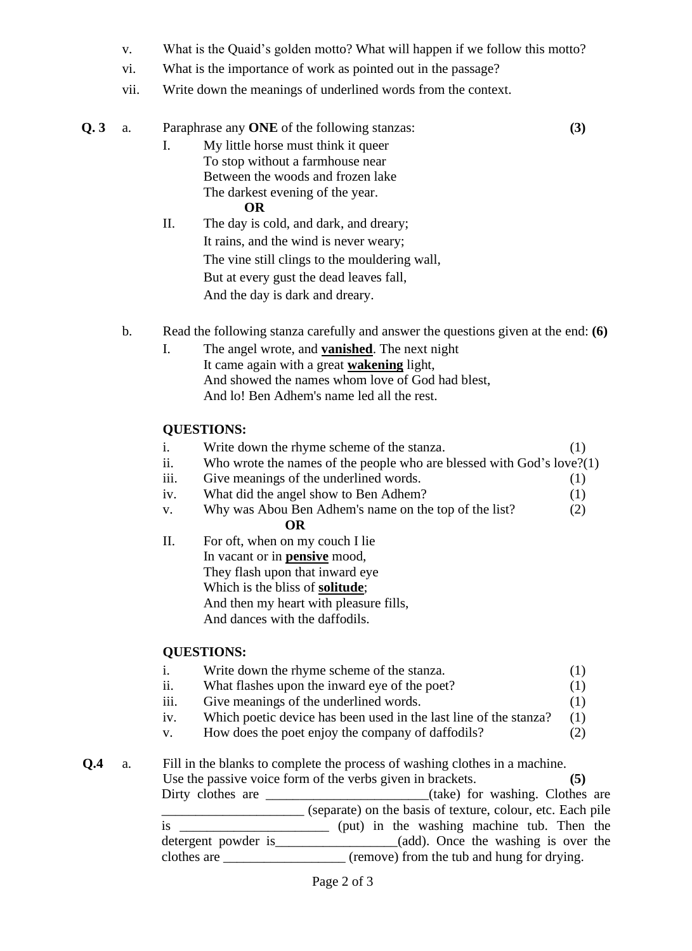- v. What is the Quaid's golden motto? What will happen if we follow this motto?
- vi. What is the importance of work as pointed out in the passage?
- vii. Write down the meanings of underlined words from the context.

| Q.3            | a.            |                                                                   | Paraphrase any ONE of the following stanzas:                                            | (3)        |  |  |  |  |  |  |
|----------------|---------------|-------------------------------------------------------------------|-----------------------------------------------------------------------------------------|------------|--|--|--|--|--|--|
|                |               | I.                                                                | My little horse must think it queer                                                     |            |  |  |  |  |  |  |
|                |               |                                                                   | To stop without a farmhouse near                                                        |            |  |  |  |  |  |  |
|                |               |                                                                   | Between the woods and frozen lake                                                       |            |  |  |  |  |  |  |
|                |               |                                                                   | The darkest evening of the year.<br>OR                                                  |            |  |  |  |  |  |  |
|                |               | П.                                                                | The day is cold, and dark, and dreary;                                                  |            |  |  |  |  |  |  |
|                |               |                                                                   | It rains, and the wind is never weary;                                                  |            |  |  |  |  |  |  |
|                |               |                                                                   | The vine still clings to the mouldering wall,                                           |            |  |  |  |  |  |  |
|                |               |                                                                   | But at every gust the dead leaves fall,                                                 |            |  |  |  |  |  |  |
|                |               |                                                                   | And the day is dark and dreary.                                                         |            |  |  |  |  |  |  |
|                | $\mathbf b$ . |                                                                   | Read the following stanza carefully and answer the questions given at the end: $(6)$    |            |  |  |  |  |  |  |
|                |               | The angel wrote, and <b>vanished</b> . The next night             |                                                                                         |            |  |  |  |  |  |  |
|                |               | It came again with a great <b>wakening</b> light,                 |                                                                                         |            |  |  |  |  |  |  |
|                |               |                                                                   | And showed the names whom love of God had blest,                                        |            |  |  |  |  |  |  |
|                |               | And lo! Ben Adhem's name led all the rest.                        |                                                                                         |            |  |  |  |  |  |  |
|                |               | <b>QUESTIONS:</b>                                                 |                                                                                         |            |  |  |  |  |  |  |
|                |               | i.                                                                | Write down the rhyme scheme of the stanza.                                              | (1)        |  |  |  |  |  |  |
|                |               | ii.                                                               | Who wrote the names of the people who are blessed with $God's love?(1)$                 |            |  |  |  |  |  |  |
|                |               | 111.                                                              | Give meanings of the underlined words.                                                  | (1)        |  |  |  |  |  |  |
|                |               | iv.                                                               | What did the angel show to Ben Adhem?                                                   | (1)        |  |  |  |  |  |  |
|                |               | V.                                                                | Why was Abou Ben Adhem's name on the top of the list?<br><b>OR</b>                      | (2)        |  |  |  |  |  |  |
|                |               | Π.                                                                | For oft, when on my couch I lie                                                         |            |  |  |  |  |  |  |
|                |               |                                                                   | In vacant or in <b>pensive</b> mood,                                                    |            |  |  |  |  |  |  |
|                |               |                                                                   | They flash upon that inward eye                                                         |            |  |  |  |  |  |  |
|                |               |                                                                   | Which is the bliss of <b>solitude</b> ;                                                 |            |  |  |  |  |  |  |
|                |               |                                                                   | And then my heart with pleasure fills,<br>And dances with the daffodils.                |            |  |  |  |  |  |  |
|                |               |                                                                   |                                                                                         |            |  |  |  |  |  |  |
|                |               |                                                                   | <b>QUESTIONS:</b>                                                                       |            |  |  |  |  |  |  |
|                |               | $\mathbf{i}$ .                                                    | Write down the rhyme scheme of the stanza.                                              | (1)        |  |  |  |  |  |  |
|                |               | ii.<br>iii.                                                       | What flashes upon the inward eye of the poet?<br>Give meanings of the underlined words. | (1)<br>(1) |  |  |  |  |  |  |
|                |               | iv.                                                               | Which poetic device has been used in the last line of the stanza?                       | (1)        |  |  |  |  |  |  |
|                |               | V.                                                                | How does the poet enjoy the company of daffodils?                                       | (2)        |  |  |  |  |  |  |
| Q <sub>4</sub> | a.            |                                                                   | Fill in the blanks to complete the process of washing clothes in a machine.             |            |  |  |  |  |  |  |
|                |               | Use the passive voice form of the verbs given in brackets.<br>(5) |                                                                                         |            |  |  |  |  |  |  |
|                |               |                                                                   | Dirty clothes are ____________________________(take) for washing. Clothes are           |            |  |  |  |  |  |  |
|                |               |                                                                   | (separate) on the basis of texture, colour, etc. Each pile                              |            |  |  |  |  |  |  |
|                |               |                                                                   |                                                                                         |            |  |  |  |  |  |  |
|                |               |                                                                   |                                                                                         |            |  |  |  |  |  |  |
|                |               |                                                                   | clothes are ____________________ (remove) from the tub and hung for drying.             |            |  |  |  |  |  |  |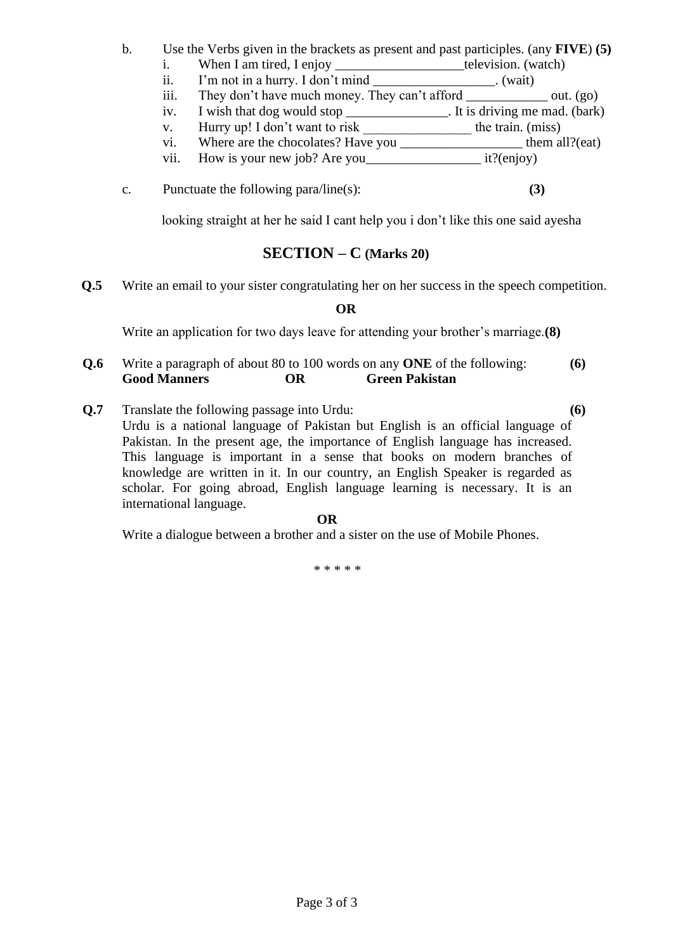## b. Use the Verbs given in the brackets as present and past participles. (any **FIVE**) **(5)**

- i. When I am tired, I enjoy television. (watch)
	- ii. I'm not in a hurry. I don't mind \_\_\_\_\_\_\_\_\_\_\_\_\_\_\_\_\_\_. (wait)
- iii. They don't have much money. They can't afford \_\_\_\_\_\_\_\_\_\_\_\_\_\_\_\_ out. (go)
- iv. I wish that dog would stop \_\_\_\_\_\_\_\_\_\_\_\_\_\_\_. It is driving me mad. (bark)
- v. Hurry up! I don't want to risk the train. (miss)
- vi. Where are the chocolates? Have you them all?(eat)
- vii. How is your new job? Are you it?(enjoy)
- c. Punctuate the following para/line(s): **(3)**

looking straight at her he said I cant help you i don't like this one said ayesha

## **SECTION – C (Marks 20)**

**Q.5** Write an email to your sister congratulating her on her success in the speech competition.

## **OR**

Write an application for two days leave for attending your brother's marriage.**(8)**

- **Q.6** Write a paragraph of about 80 to 100 words on any **ONE** of the following: **(6) Good Manners OR Green Pakistan**
- **Q.7** Translate the following passage into Urdu: **(6)** Urdu is a national language of Pakistan but English is an official language of Pakistan. In the present age, the importance of English language has increased. This language is important in a sense that books on modern branches of knowledge are written in it. In our country, an English Speaker is regarded as scholar. For going abroad, English language learning is necessary. It is an international language.

#### **OR**

Write a dialogue between a brother and a sister on the use of Mobile Phones.

\* \* \* \* \*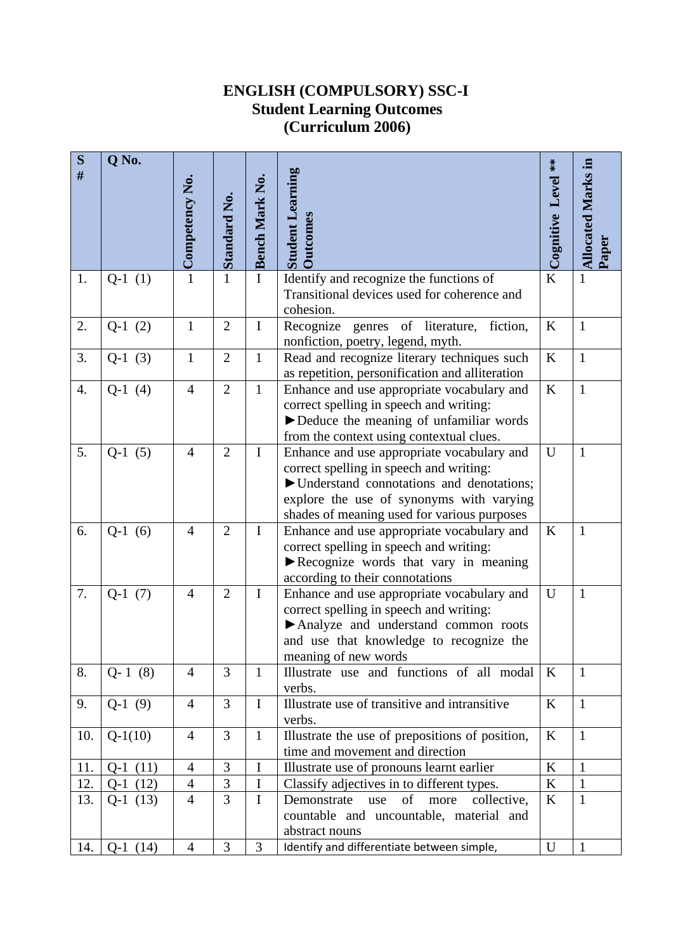## **ENGLISH (COMPULSORY) SSC-I Student Learning Outcomes (Curriculum 2006)**

| ${\bf S}$<br># | Q No.     | Competency No. | <b>Standard No.</b> | <b>Bench Mark No.</b> | <b>Student Learning</b><br><b>Outcomes</b>                                                                                                                                                                                     | $**$<br>Cognitive Level | <b>Allocated Marks in</b><br>Paper |
|----------------|-----------|----------------|---------------------|-----------------------|--------------------------------------------------------------------------------------------------------------------------------------------------------------------------------------------------------------------------------|-------------------------|------------------------------------|
| 1.             | $Q-1(1)$  | $\mathbf{1}$   | $\mathbf{1}$        | $\mathbf I$           | Identify and recognize the functions of<br>Transitional devices used for coherence and<br>cohesion.                                                                                                                            | K                       | $\mathbf{1}$                       |
| 2.             | $Q-1(2)$  | $\mathbf{1}$   | $\overline{2}$      | $\bf I$               | Recognize genres of literature,<br>fiction,<br>nonfiction, poetry, legend, myth.                                                                                                                                               | K                       | $\mathbf{1}$                       |
| 3.             | $Q-1(3)$  | $\mathbf{1}$   | $\overline{2}$      | $\mathbf{1}$          | Read and recognize literary techniques such<br>as repetition, personification and alliteration                                                                                                                                 | K                       | $\mathbf{1}$                       |
| 4.             | $Q-1(4)$  | $\overline{4}$ | $\overline{2}$      | $\mathbf{1}$          | Enhance and use appropriate vocabulary and<br>correct spelling in speech and writing:<br>Deduce the meaning of unfamiliar words<br>from the context using contextual clues.                                                    | K                       | $\mathbf{1}$                       |
| 5.             | $Q-1(5)$  | $\overline{4}$ | $\overline{2}$      | $\bf{I}$              | Enhance and use appropriate vocabulary and<br>correct spelling in speech and writing:<br>▶ Understand connotations and denotations;<br>explore the use of synonyms with varying<br>shades of meaning used for various purposes | U                       | $\mathbf{1}$                       |
| 6.             | $Q-1(6)$  | $\overline{4}$ | $\overline{2}$      | $\bf I$               | Enhance and use appropriate vocabulary and<br>correct spelling in speech and writing:<br>Recognize words that vary in meaning<br>according to their connotations                                                               | $\bf K$                 | $\mathbf{1}$                       |
| 7.             | $Q-1(7)$  | $\overline{4}$ | $\overline{2}$      | $\bf{I}$              | Enhance and use appropriate vocabulary and<br>correct spelling in speech and writing:<br>Analyze and understand common roots<br>and use that knowledge to recognize the<br>meaning of new words                                | U                       | $\mathbf{1}$                       |
| 8.             | $Q-1(8)$  | $\overline{4}$ | 3                   | $\mathbf{1}$          | Illustrate use and functions of all modal<br>verbs.                                                                                                                                                                            | $\bf K$                 | $\mathbf{1}$                       |
| 9.             | $Q-1(9)$  | $\overline{4}$ | 3                   | $\mathbf I$           | Illustrate use of transitive and intransitive<br>verbs.                                                                                                                                                                        | K                       | $\mathbf{1}$                       |
| 10.            | $Q-1(10)$ | $\overline{4}$ | 3                   | $\mathbf{1}$          | Illustrate the use of prepositions of position,<br>time and movement and direction                                                                                                                                             | K                       | $\mathbf{1}$                       |
| 11.            | $Q-1(11)$ | $\overline{4}$ | 3                   | $\mathbf I$           | Illustrate use of pronouns learnt earlier                                                                                                                                                                                      | $\rm K$                 | $\mathbf{1}$                       |
| 12.            | $Q-1(12)$ | $\overline{4}$ | $\mathfrak{Z}$      | $\bf{I}$              | Classify adjectives in to different types.                                                                                                                                                                                     | K                       | $\mathbf{1}$                       |
| 13.            | $Q-1(13)$ | $\overline{4}$ | $\overline{3}$      | $\mathbf I$           | of<br>Demonstrate<br>use<br>collective,<br>more<br>countable and uncountable, material and<br>abstract nouns                                                                                                                   | K                       | $\mathbf{1}$                       |
| 14.            | $Q-1(14)$ | $\overline{4}$ | $\overline{3}$      | $\overline{3}$        | Identify and differentiate between simple,                                                                                                                                                                                     | U                       | $\mathbf{1}$                       |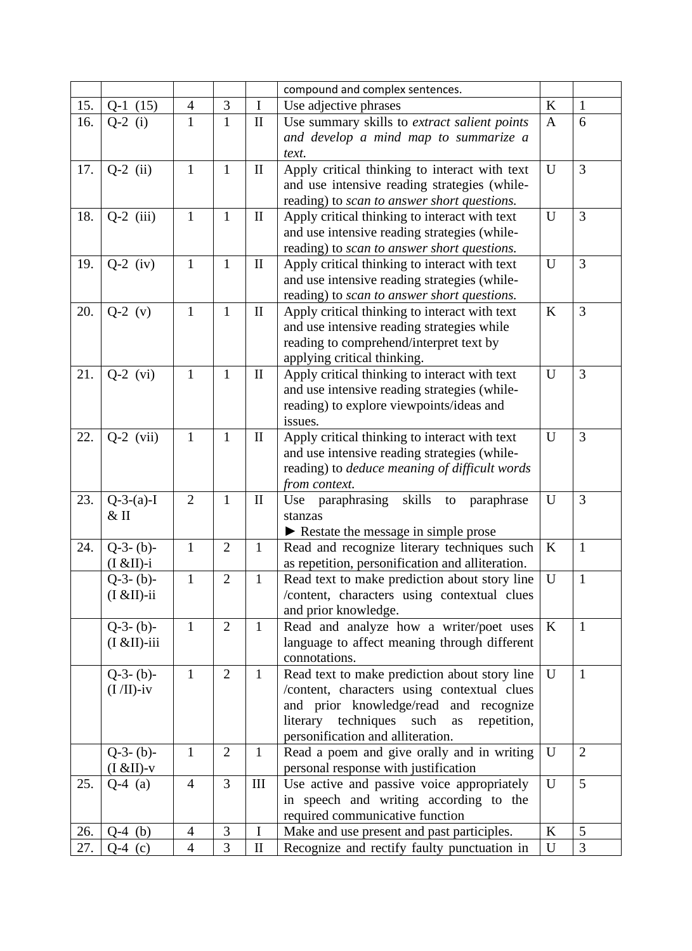|     |                  |                |                |              | compound and complex sentences.                      |              |                |
|-----|------------------|----------------|----------------|--------------|------------------------------------------------------|--------------|----------------|
| 15. | $Q-1(15)$        | $\overline{4}$ | $\mathfrak{Z}$ | $\mathbf I$  | Use adjective phrases                                |              | $\mathbf{1}$   |
| 16. | $Q-2$ (i)        | $\mathbf{1}$   | $\mathbf{1}$   | $\rm II$     | Use summary skills to extract salient points         | $\mathbf{A}$ | 6              |
|     |                  |                |                |              | and develop a mind map to summarize a                |              |                |
|     |                  |                |                |              | text.                                                |              |                |
| 17. | $Q-2$ (ii)       | $\mathbf{1}$   | $\mathbf{1}$   | $\mathbf{I}$ | Apply critical thinking to interact with text        | U            | 3              |
|     |                  |                |                |              | and use intensive reading strategies (while-         |              |                |
|     |                  |                |                |              | reading) to scan to answer short questions.          |              |                |
| 18. | $Q-2$ (iii)      | $\mathbf{1}$   | $\mathbf{1}$   | $\mathbf{I}$ | Apply critical thinking to interact with text        | U            | 3              |
|     |                  |                |                |              | and use intensive reading strategies (while-         |              |                |
|     |                  |                |                |              | reading) to scan to answer short questions.          |              |                |
| 19. | $Q-2$ (iv)       | $\mathbf{1}$   | $\mathbf{1}$   | $\mathbf{I}$ | Apply critical thinking to interact with text        | U            | 3              |
|     |                  |                |                |              | and use intensive reading strategies (while-         |              |                |
|     |                  |                |                |              | reading) to scan to answer short questions.          |              |                |
| 20. | $Q-2 (v)$        | $\mathbf{1}$   | $\mathbf{1}$   | $\mathbf{I}$ | Apply critical thinking to interact with text        | $\bf K$      | 3              |
|     |                  |                |                |              | and use intensive reading strategies while           |              |                |
|     |                  |                |                |              | reading to comprehend/interpret text by              |              |                |
|     |                  |                |                |              | applying critical thinking.                          |              |                |
| 21. | $Q-2$ (vi)       | $\mathbf{1}$   | $\mathbf{1}$   | $\mathbf{I}$ | Apply critical thinking to interact with text        | $\mathbf U$  | 3              |
|     |                  |                |                |              | and use intensive reading strategies (while-         |              |                |
|     |                  |                |                |              | reading) to explore viewpoints/ideas and             |              |                |
|     |                  |                |                |              | issues.                                              |              |                |
| 22. | $Q-2$ (vii)      | $\mathbf{1}$   | $\mathbf{1}$   | $\mathbf{I}$ | Apply critical thinking to interact with text        | U            | 3              |
|     |                  |                |                |              | and use intensive reading strategies (while-         |              |                |
|     |                  |                |                |              | reading) to <i>deduce meaning of difficult words</i> |              |                |
|     |                  |                |                |              | from context.                                        |              |                |
| 23. | $Q-3-(a)-I$      | $\overline{2}$ | $\mathbf{1}$   | $\mathbf{I}$ | skills to paraphrase<br>Use paraphrasing             | U            | 3              |
|     | $&$ II           |                |                |              | stanzas                                              |              |                |
|     |                  |                |                |              | Restate the message in simple prose                  |              |                |
| 24. | $Q-3-(b)-$       | $\mathbf{1}$   | $\overline{2}$ | $\mathbf{1}$ | Read and recognize literary techniques such          | $\bf K$      | $\mathbf{1}$   |
|     | $(I & I) -i$     |                |                |              | as repetition, personification and alliteration.     |              |                |
|     | $Q-3-(b)-$       | $\mathbf{1}$   | $\overline{2}$ | $\mathbf{1}$ | Read text to make prediction about story line        | U            | $\mathbf{1}$   |
|     | $(I & EII)$ -ii  |                |                |              | /content, characters using contextual clues          |              |                |
|     |                  |                |                |              | and prior knowledge.                                 |              |                |
|     | $Q-3-(b)-$       | $\mathbf{1}$   | $\overline{2}$ | $\mathbf{1}$ | Read and analyze how a writer/poet uses              | $\mathbf{K}$ | $\mathbf{1}$   |
|     | $(I & EII)$ -iii |                |                |              | language to affect meaning through different         |              |                |
|     |                  |                |                |              | connotations.                                        |              |                |
|     | $Q-3-(b)-$       | $\mathbf{1}$   | $\overline{2}$ | $\mathbf{1}$ | Read text to make prediction about story line        | U            | $\mathbf{1}$   |
|     | $(I/II)-iv$      |                |                |              | /content, characters using contextual clues          |              |                |
|     |                  |                |                |              | and prior knowledge/read and recognize               |              |                |
|     |                  |                |                |              | literary techniques such<br>repetition,<br>as        |              |                |
|     |                  |                |                |              | personification and alliteration.                    |              |                |
|     | $Q-3-(b)-$       | 1              | $\overline{2}$ | $\mathbf{1}$ | Read a poem and give orally and in writing           | U            | $\overline{2}$ |
|     | $(I & I) - v$    |                |                |              | personal response with justification                 |              |                |
| 25. | $Q-4$ (a)        | $\overline{4}$ | 3              | $\rm III$    | Use active and passive voice appropriately           | U            | 5              |
|     |                  |                |                |              | in speech and writing according to the               |              |                |
|     |                  |                |                |              | required communicative function                      |              |                |
| 26. | $Q-4$ (b)        | 4              | 3              | $\mathbf I$  | Make and use present and past participles.           | K            | 5              |
| 27. | $Q-4$ (c)        | $\overline{4}$ | 3              | $\mathbf{I}$ | Recognize and rectify faulty punctuation in          | U            | 3              |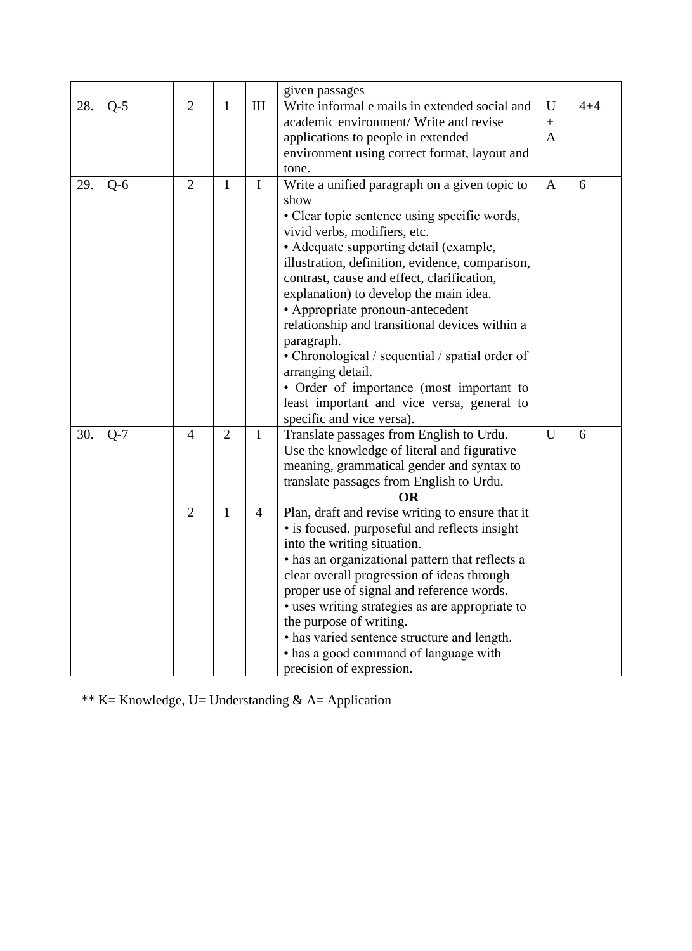|     |       |                                  |                                |                               | given passages                                                                                                                                                                                                                                                                                                                                                                                                                                                                                                                                                                                                                                                                    |                  |         |
|-----|-------|----------------------------------|--------------------------------|-------------------------------|-----------------------------------------------------------------------------------------------------------------------------------------------------------------------------------------------------------------------------------------------------------------------------------------------------------------------------------------------------------------------------------------------------------------------------------------------------------------------------------------------------------------------------------------------------------------------------------------------------------------------------------------------------------------------------------|------------------|---------|
| 28. | $Q-5$ | $\overline{2}$                   | $\mathbf{1}$                   | III                           | Write informal e mails in extended social and                                                                                                                                                                                                                                                                                                                                                                                                                                                                                                                                                                                                                                     | U                | $4 + 4$ |
|     |       |                                  |                                |                               | academic environment/ Write and revise                                                                                                                                                                                                                                                                                                                                                                                                                                                                                                                                                                                                                                            | $\boldsymbol{+}$ |         |
|     |       |                                  |                                |                               | applications to people in extended<br>A                                                                                                                                                                                                                                                                                                                                                                                                                                                                                                                                                                                                                                           |                  |         |
|     |       |                                  |                                |                               | environment using correct format, layout and                                                                                                                                                                                                                                                                                                                                                                                                                                                                                                                                                                                                                                      |                  |         |
|     |       |                                  |                                |                               | tone.                                                                                                                                                                                                                                                                                                                                                                                                                                                                                                                                                                                                                                                                             |                  |         |
| 29. | $Q-6$ | $\overline{2}$                   | $\mathbf{1}$                   | I                             | Write a unified paragraph on a given topic to<br>show<br>• Clear topic sentence using specific words,<br>vivid verbs, modifiers, etc.<br>• Adequate supporting detail (example,<br>illustration, definition, evidence, comparison,<br>contrast, cause and effect, clarification,<br>explanation) to develop the main idea.<br>• Appropriate pronoun-antecedent<br>relationship and transitional devices within a<br>paragraph.<br>• Chronological / sequential / spatial order of<br>arranging detail.<br>• Order of importance (most important to<br>least important and vice versa, general to<br>specific and vice versa).                                                     | A                | 6       |
| 30. | $Q-7$ | $\overline{4}$<br>$\overline{2}$ | $\overline{2}$<br>$\mathbf{1}$ | $\mathbf I$<br>$\overline{4}$ | Translate passages from English to Urdu.<br>Use the knowledge of literal and figurative<br>meaning, grammatical gender and syntax to<br>translate passages from English to Urdu.<br><b>OR</b><br>Plan, draft and revise writing to ensure that it<br>• is focused, purposeful and reflects insight<br>into the writing situation.<br>• has an organizational pattern that reflects a<br>clear overall progression of ideas through<br>proper use of signal and reference words.<br>· uses writing strategies as are appropriate to<br>the purpose of writing.<br>• has varied sentence structure and length.<br>• has a good command of language with<br>precision of expression. | U                | 6       |

\*\* K= Knowledge, U= Understanding & A= Application